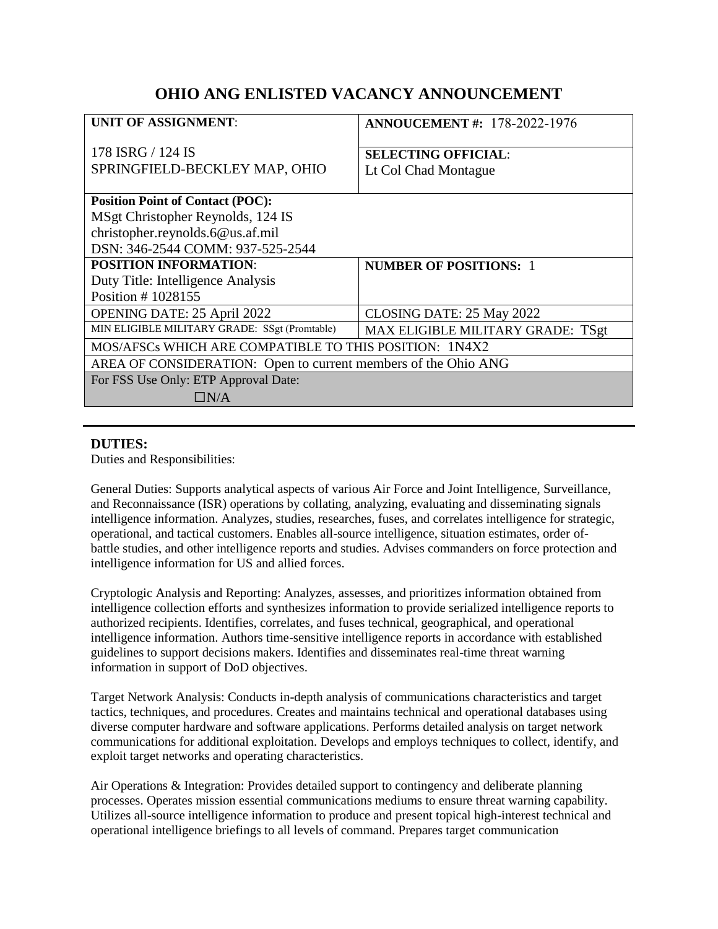# **OHIO ANG ENLISTED VACANCY ANNOUNCEMENT**

| <b>UNIT OF ASSIGNMENT:</b>                                     | <b>ANNOUCEMENT #: 178-2022-1976</b>                |
|----------------------------------------------------------------|----------------------------------------------------|
| 178 ISRG / 124 IS<br>SPRINGFIELD-BECKLEY MAP, OHIO             | <b>SELECTING OFFICIAL:</b><br>Lt Col Chad Montague |
| <b>Position Point of Contact (POC):</b>                        |                                                    |
| MSgt Christopher Reynolds, 124 IS                              |                                                    |
| christopher.reynolds.6@us.af.mil                               |                                                    |
| DSN: 346-2544 COMM: 937-525-2544                               |                                                    |
| <b>POSITION INFORMATION:</b>                                   | <b>NUMBER OF POSITIONS: 1</b>                      |
| Duty Title: Intelligence Analysis                              |                                                    |
| Position #1028155                                              |                                                    |
| OPENING DATE: 25 April 2022                                    | CLOSING DATE: 25 May 2022                          |
| MIN ELIGIBLE MILITARY GRADE: SSgt (Promtable)                  | MAX ELIGIBLE MILITARY GRADE: TSgt                  |
| MOS/AFSCs WHICH ARE COMPATIBLE TO THIS POSITION: 1N4X2         |                                                    |
| AREA OF CONSIDERATION: Open to current members of the Ohio ANG |                                                    |
| For FSS Use Only: ETP Approval Date:                           |                                                    |
| $\Box\rm{N}/\rm{A}$                                            |                                                    |

#### **DUTIES:**

Duties and Responsibilities:

General Duties: Supports analytical aspects of various Air Force and Joint Intelligence, Surveillance, and Reconnaissance (ISR) operations by collating, analyzing, evaluating and disseminating signals intelligence information. Analyzes, studies, researches, fuses, and correlates intelligence for strategic, operational, and tactical customers. Enables all-source intelligence, situation estimates, order ofbattle studies, and other intelligence reports and studies. Advises commanders on force protection and intelligence information for US and allied forces.

Cryptologic Analysis and Reporting: Analyzes, assesses, and prioritizes information obtained from intelligence collection efforts and synthesizes information to provide serialized intelligence reports to authorized recipients. Identifies, correlates, and fuses technical, geographical, and operational intelligence information. Authors time-sensitive intelligence reports in accordance with established guidelines to support decisions makers. Identifies and disseminates real-time threat warning information in support of DoD objectives.

Target Network Analysis: Conducts in-depth analysis of communications characteristics and target tactics, techniques, and procedures. Creates and maintains technical and operational databases using diverse computer hardware and software applications. Performs detailed analysis on target network communications for additional exploitation. Develops and employs techniques to collect, identify, and exploit target networks and operating characteristics.

Air Operations & Integration: Provides detailed support to contingency and deliberate planning processes. Operates mission essential communications mediums to ensure threat warning capability. Utilizes all-source intelligence information to produce and present topical high-interest technical and operational intelligence briefings to all levels of command. Prepares target communication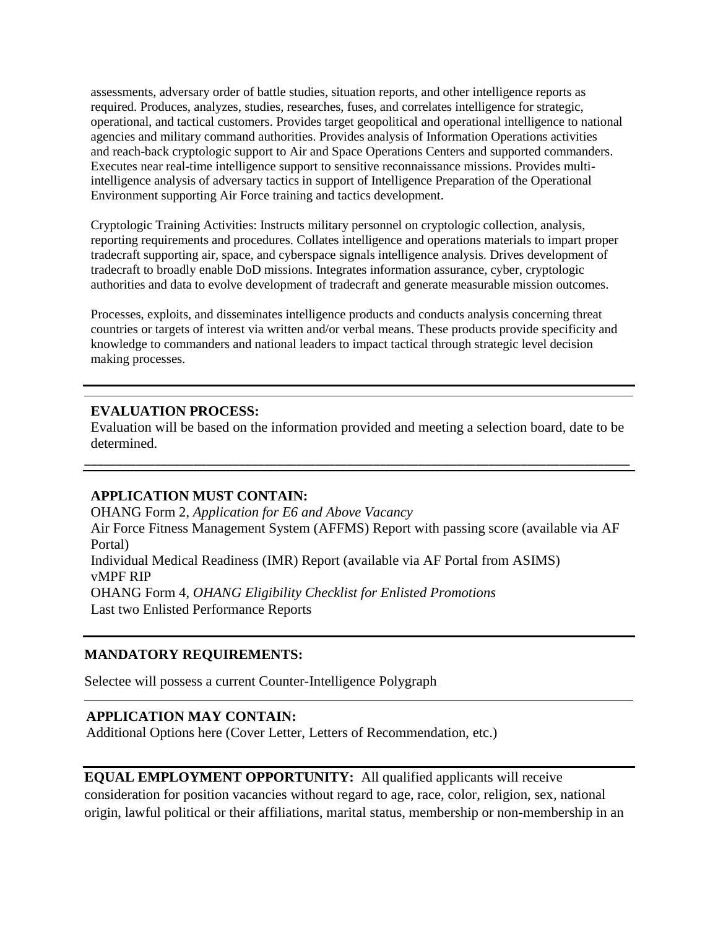assessments, adversary order of battle studies, situation reports, and other intelligence reports as required. Produces, analyzes, studies, researches, fuses, and correlates intelligence for strategic, operational, and tactical customers. Provides target geopolitical and operational intelligence to national agencies and military command authorities. Provides analysis of Information Operations activities and reach-back cryptologic support to Air and Space Operations Centers and supported commanders. Executes near real-time intelligence support to sensitive reconnaissance missions. Provides multiintelligence analysis of adversary tactics in support of Intelligence Preparation of the Operational Environment supporting Air Force training and tactics development.

Cryptologic Training Activities: Instructs military personnel on cryptologic collection, analysis, reporting requirements and procedures. Collates intelligence and operations materials to impart proper tradecraft supporting air, space, and cyberspace signals intelligence analysis. Drives development of tradecraft to broadly enable DoD missions. Integrates information assurance, cyber, cryptologic authorities and data to evolve development of tradecraft and generate measurable mission outcomes.

Processes, exploits, and disseminates intelligence products and conducts analysis concerning threat countries or targets of interest via written and/or verbal means. These products provide specificity and knowledge to commanders and national leaders to impact tactical through strategic level decision making processes.

### **EVALUATION PROCESS:**

Evaluation will be based on the information provided and meeting a selection board, date to be determined.

\_\_\_\_\_\_\_\_\_\_\_\_\_\_\_\_\_\_\_\_\_\_\_\_\_\_\_\_\_\_\_\_\_\_\_\_\_\_\_\_\_\_\_\_\_\_\_\_\_\_\_\_\_\_\_\_\_\_\_\_\_\_\_\_\_\_\_\_\_\_\_\_\_\_\_\_\_\_\_\_\_\_\_\_\_

### **APPLICATION MUST CONTAIN:**

OHANG Form 2, *Application for E6 and Above Vacancy* Air Force Fitness Management System (AFFMS) Report with passing score (available via AF Portal) Individual Medical Readiness (IMR) Report (available via AF Portal from ASIMS) vMPF RIP OHANG Form 4, *OHANG Eligibility Checklist for Enlisted Promotions* Last two Enlisted Performance Reports

### **MANDATORY REQUIREMENTS:**

Selectee will possess a current Counter-Intelligence Polygraph

### **APPLICATION MAY CONTAIN:**

Additional Options here (Cover Letter, Letters of Recommendation, etc.)

### **EQUAL EMPLOYMENT OPPORTUNITY:** All qualified applicants will receive

consideration for position vacancies without regard to age, race, color, religion, sex, national origin, lawful political or their affiliations, marital status, membership or non-membership in an